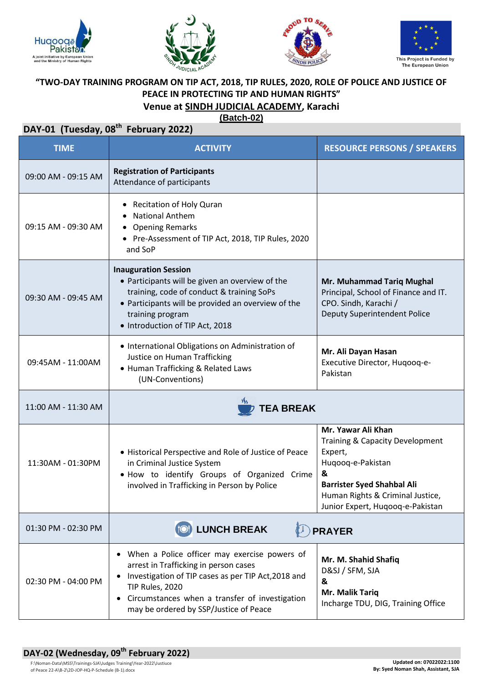







## **"TWO-DAY TRAINING PROGRAM ON TIP ACT, 2018, TIP RULES, 2020, ROLE OF POLICE AND JUSTICE OF PEACE IN PROTECTING TIP AND HUMAN RIGHTS" Venue at SINDH JUDICIAL ACADEMY, Karachi**

**(Batch-02)**

| <b>TIME</b>         | <b>ACTIVITY</b>                                                                                                                                                                                                                                               | <b>RESOURCE PERSONS / SPEAKERS</b>                                                                                                                                                                      |
|---------------------|---------------------------------------------------------------------------------------------------------------------------------------------------------------------------------------------------------------------------------------------------------------|---------------------------------------------------------------------------------------------------------------------------------------------------------------------------------------------------------|
| 09:00 AM - 09:15 AM | <b>Registration of Participants</b><br>Attendance of participants                                                                                                                                                                                             |                                                                                                                                                                                                         |
| 09:15 AM - 09:30 AM | Recitation of Holy Quran<br><b>National Anthem</b><br><b>Opening Remarks</b><br>• Pre-Assessment of TIP Act, 2018, TIP Rules, 2020<br>and SoP                                                                                                                 |                                                                                                                                                                                                         |
| 09:30 AM - 09:45 AM | <b>Inauguration Session</b><br>• Participants will be given an overview of the<br>training, code of conduct & training SoPs<br>• Participants will be provided an overview of the<br>training program<br>• Introduction of TIP Act, 2018                      | Mr. Muhammad Tariq Mughal<br>Principal, School of Finance and IT.<br>CPO. Sindh, Karachi /<br>Deputy Superintendent Police                                                                              |
| 09:45AM - 11:00AM   | • International Obligations on Administration of<br>Justice on Human Trafficking<br>• Human Trafficking & Related Laws<br>(UN-Conventions)                                                                                                                    | Mr. Ali Dayan Hasan<br>Executive Director, Huqooq-e-<br>Pakistan                                                                                                                                        |
| 11:00 AM - 11:30 AM | <b>TEA BREAK</b>                                                                                                                                                                                                                                              |                                                                                                                                                                                                         |
| 11:30AM - 01:30PM   | • Historical Perspective and Role of Justice of Peace<br>in Criminal Justice System<br>. How to identify Groups of Organized Crime<br>involved in Trafficking in Person by Police                                                                             | Mr. Yawar Ali Khan<br>Training & Capacity Development<br>Expert,<br>Huqooq-e-Pakistan<br>&<br><b>Barrister Syed Shahbal Ali</b><br>Human Rights & Criminal Justice,<br>Junior Expert, Hugoog-e-Pakistan |
| 01:30 PM - 02:30 PM | <b>(10) LUNCH BREAK</b><br><b>PRAYER</b>                                                                                                                                                                                                                      |                                                                                                                                                                                                         |
| 02:30 PM - 04:00 PM | • When a Police officer may exercise powers of<br>arrest in Trafficking in person cases<br>Investigation of TIP cases as per TIP Act, 2018 and<br>TIP Rules, 2020<br>Circumstances when a transfer of investigation<br>may be ordered by SSP/Justice of Peace | Mr. M. Shahid Shafiq<br>D&SJ / SFM, SJA<br>&<br>Mr. Malik Tariq<br>Incharge TDU, DIG, Training Office                                                                                                   |

## **DAY-02 (Wednesday, 09th February 2022)**